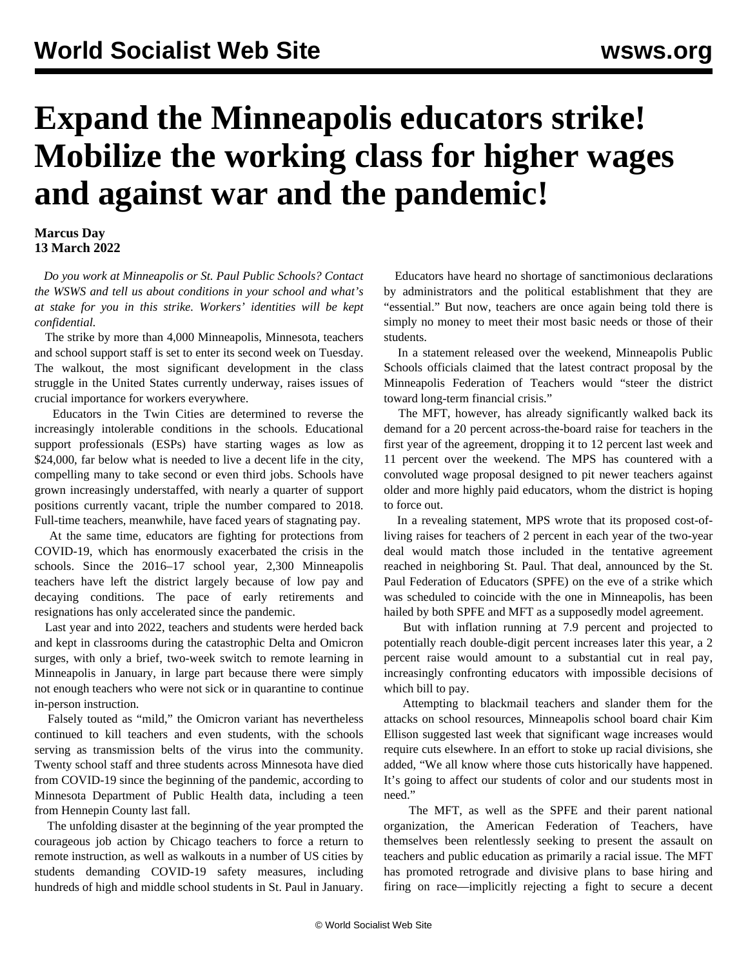## **Expand the Minneapolis educators strike! Mobilize the working class for higher wages and against war and the pandemic!**

## **Marcus Day 13 March 2022**

 *Do you work at Minneapolis or St. Paul Public Schools? [Contact](/en/special/pages/contact.html) [the WSWS](/en/special/pages/contact.html) and tell us about conditions in your school and what's at stake for you in this strike. Workers' identities will be kept confidential.*

 The strike by more than 4,000 Minneapolis, Minnesota, teachers and school support staff is set to enter its second week on Tuesday. The walkout, the most significant development in the class struggle in the United States currently underway, raises issues of crucial importance for workers everywhere.

 Educators in the Twin Cities are determined to reverse the increasingly intolerable conditions in the schools. Educational support professionals (ESPs) have starting wages as low as \$24,000, far below what is needed to live a decent life in the city, compelling many to take second or even third jobs. Schools have grown increasingly understaffed, with nearly a quarter of support positions currently vacant, triple the number compared to 2018. Full-time teachers, meanwhile, have faced years of stagnating pay.

 At the same time, educators are fighting for protections from COVID-19, which has enormously exacerbated the crisis in the schools. Since the 2016–17 school year, 2,300 Minneapolis teachers have left the district largely because of low pay and decaying conditions. The pace of early retirements and resignations has only accelerated since the pandemic.

 Last year and into 2022, teachers and students were herded back and kept in classrooms during the catastrophic Delta and Omicron surges, with only a brief, two-week switch to remote learning in Minneapolis in January, in large part because there were simply not enough teachers who were not sick or in quarantine to continue in-person instruction.

 Falsely touted as "mild," the Omicron variant has nevertheless continued to kill teachers and even students, with the schools serving as transmission belts of the virus into the community. Twenty school staff and three students across Minnesota have died from COVID-19 since the beginning of the pandemic, according to Minnesota Department of Public Health data, including a teen from Hennepin County last fall.

 The unfolding disaster at the beginning of the year prompted the courageous job action by [Chicago teachers](/en/articles/2022/01/05/chic-j05.html) to force a return to remote instruction, as well as walkouts in a number of US cities by students demanding COVID-19 safety measures, including hundreds of high and middle school students in St. Paul in January.

 Educators have heard no shortage of sanctimonious declarations by administrators and the political establishment that they are "essential." But now, teachers are once again being told there is simply no money to meet their most basic needs or those of their students.

 In a statement released over the weekend, Minneapolis Public Schools officials claimed that the latest contract proposal by the Minneapolis Federation of Teachers would "steer the district toward long-term financial crisis."

 The MFT, however, has already significantly walked back its demand for a 20 percent across-the-board raise for teachers in the first year of the agreement, dropping it to 12 percent last week and 11 percent over the weekend. The MPS has countered with a convoluted wage proposal designed to pit newer teachers against older and more highly paid educators, whom the district is hoping to force out.

 In a revealing statement, MPS wrote that its proposed cost-ofliving raises for teachers of 2 percent in each year of the two-year deal would match those included in the tentative agreement reached in neighboring St. Paul. That deal, announced by the St. Paul Federation of Educators (SPFE) on the eve of a strike which was scheduled to coincide with the one in Minneapolis, has been hailed by both SPFE and MFT as a supposedly model agreement.

 But with inflation running at 7.9 percent and projected to potentially reach double-digit percent increases later this year, a 2 percent raise would amount to a substantial cut in real pay, increasingly confronting educators with impossible decisions of which bill to pay.

 Attempting to blackmail teachers and slander them for the attacks on school resources, Minneapolis school board chair Kim Ellison suggested last week that significant wage increases would require cuts elsewhere. In an effort to stoke up racial divisions, she added, "We all know where those cuts historically have happened. It's going to affect our students of color and our students most in need."

 The MFT, as well as the SPFE and their parent national organization, the American Federation of Teachers, have themselves been relentlessly seeking to present the assault on teachers and public education as primarily a racial issue. The MFT has promoted [retrograde and divisive plans to base hiring and](/en/articles/2021/08/12/minn-a12.html) [firing on race](/en/articles/2021/08/12/minn-a12.html)—implicitly rejecting a fight to secure a decent